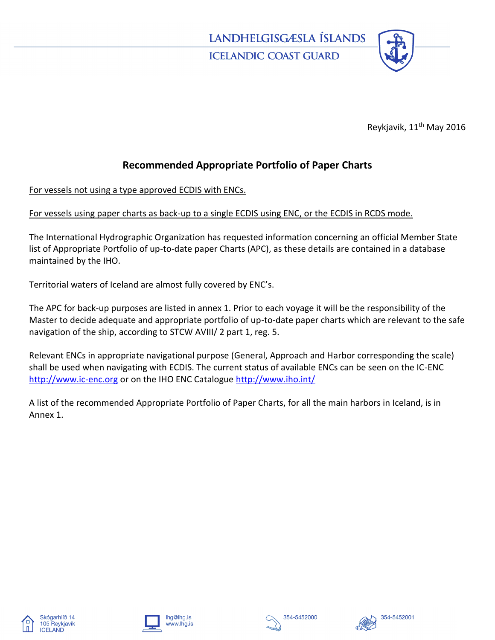

Reykjavik, 11<sup>th</sup> May 2016

## **Recommended Appropriate Portfolio of Paper Charts**

For vessels not using a type approved ECDIS with ENCs.

## For vessels using paper charts as back-up to a single ECDIS using ENC, or the ECDIS in RCDS mode.

The International Hydrographic Organization has requested information concerning an official Member State list of Appropriate Portfolio of up-to-date paper Charts (APC), as these details are contained in a database maintained by the IHO.

Territorial waters of Iceland are almost fully covered by ENC's.

The APC for back-up purposes are listed in annex 1. Prior to each voyage it will be the responsibility of the Master to decide adequate and appropriate portfolio of up-to-date paper charts which are relevant to the safe navigation of the ship, according to STCW AVIII/ 2 part 1, reg. 5.

Relevant ENCs in appropriate navigational purpose (General, Approach and Harbor corresponding the scale) shall be used when navigating with ECDIS. The current status of available ENCs can be seen on the IC-ENC [http://www.ic-enc.org](http://www.ic-enc.org/) or on the IHO ENC Catalogu[e http://www.iho.int/](http://www.iho.int/)

A list of the recommended Appropriate Portfolio of Paper Charts, for all the main harbors in Iceland, is in Annex 1.









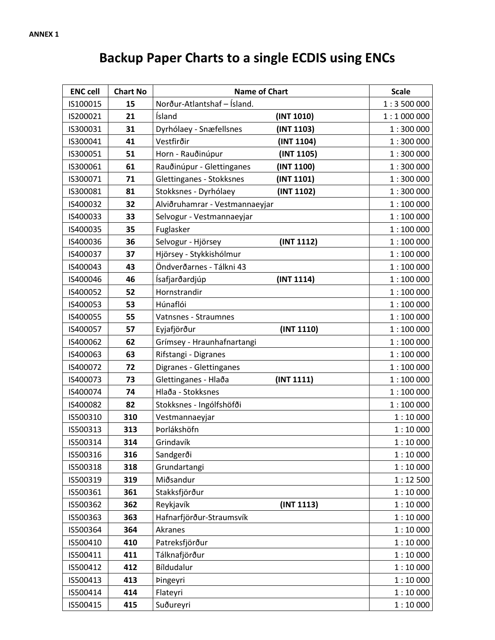## **Backup Paper Charts to a single ECDIS using ENCs**

| <b>ENC cell</b> | <b>Chart No</b> | <b>Name of Chart</b>           |            | <b>Scale</b> |
|-----------------|-----------------|--------------------------------|------------|--------------|
| IS100015        | 15              | Norður-Atlantshaf - Ísland.    |            | 1:3500000    |
| IS200021        | 21              | Ísland                         | (INT 1010) | 1:1000000    |
| IS300031        | 31              | Dyrhólaey - Snæfellsnes        | (INT 1103) | 1:300000     |
| IS300041        | 41              | Vestfirðir                     | (INT 1104) | 1:300000     |
| IS300051        | 51              | Horn - Rauðinúpur              | (INT 1105) | 1:300000     |
| IS300061        | 61              | Rauðinúpur - Glettinganes      | (INT 1100) | 1:300000     |
| IS300071        | 71              | Glettinganes - Stokksnes       | (INT 1101) | 1:300000     |
| IS300081        | 81              | Stokksnes - Dyrhólaey          | (INT 1102) | 1:300000     |
| IS400032        | 32              | Alviðruhamrar - Vestmannaeyjar |            | 1:100000     |
| IS400033        | 33              | Selvogur - Vestmannaeyjar      |            | 1:100000     |
| IS400035        | 35              | Fuglasker                      |            | 1:100000     |
| IS400036        | 36              | Selvogur - Hjörsey             | (INT 1112) | 1:100000     |
| IS400037        | 37              | Hjörsey - Stykkishólmur        |            | 1:100000     |
| IS400043        | 43              | Öndverðarnes - Tálkni 43       |            | 1:100000     |
| IS400046        | 46              | Ísafjarðardjúp                 | (INT 1114) | 1:100000     |
| IS400052        | 52              | Hornstrandir                   |            | 1:100000     |
| IS400053        | 53              | Húnaflói                       |            | 1:100000     |
| IS400055        | 55              | Vatnsnes - Straumnes           |            | 1:100000     |
| IS400057        | 57              | Eyjafjörður                    | (INT 1110) | 1:100000     |
| IS400062        | 62              | Grímsey - Hraunhafnartangi     |            | 1:100000     |
| IS400063        | 63              | Rifstangi - Digranes           |            | 1:100000     |
| IS400072        | 72              | Digranes - Glettinganes        |            | 1:100000     |
| IS400073        | 73              | Glettinganes - Hlaða           | (INT 1111) | 1:100000     |
| IS400074        | 74              | Hlaða - Stokksnes              |            | 1:100000     |
| IS400082        | 82              | Stokksnes - Ingólfshöfði       |            | 1:100000     |
| IS500310        | 310             | Vestmannaeyjar                 |            | 1:10000      |
| IS500313        | 313             | Þorlákshöfn                    |            | 1:10000      |
| IS500314        | 314             | Grindavík                      |            | 1:10000      |
| IS500316        | 316             | Sandgerði                      |            | 1:10000      |
| IS500318        | 318             | Grundartangi                   |            | 1:10000      |
| IS500319        | 319             | Miðsandur                      |            | 1:12500      |
| IS500361        | 361             | Stakksfjörður                  |            | 1:10000      |
| IS500362        | 362             | Reykjavík                      | (INT 1113) | 1:10000      |
| IS500363        | 363             | Hafnarfjörður-Straumsvík       |            | 1:10000      |
| IS500364        | 364             | Akranes                        |            | 1:10000      |
| IS500410        | 410             | Patreksfjörður                 |            | 1:10000      |
| IS500411        | 411             | Tálknafjörður                  |            | 1:10000      |
| IS500412        | 412             | Bíldudalur                     |            | 1:10000      |
| IS500413        | 413             | <b>Pingeyri</b>                |            | 1:10000      |
| IS500414        | 414             | Flateyri                       |            | 1:10000      |
| IS500415        | 415             | Suðureyri                      |            | 1:10000      |